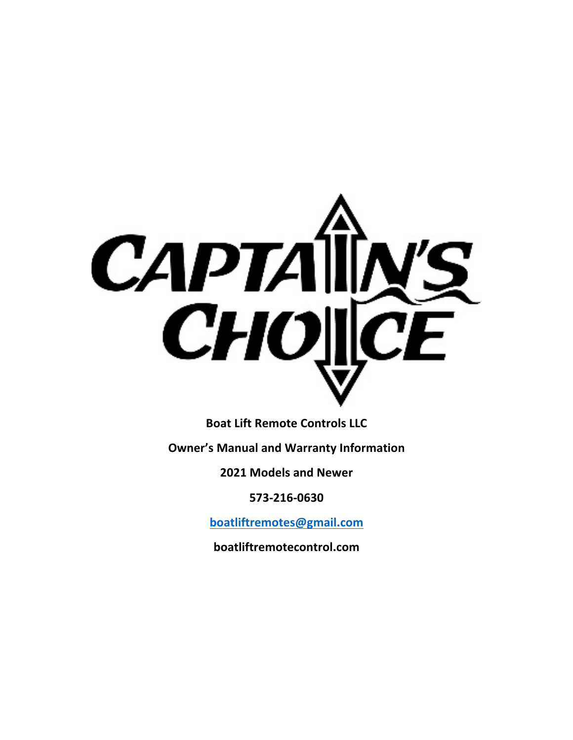

**Boat Lift Remote Controls LLC**

**Owner's Manual and Warranty Information**

**2021 Models and Newer**

**573-216-0630**

**boatliftremotes@gmail.com**

**boatliftremotecontrol.com**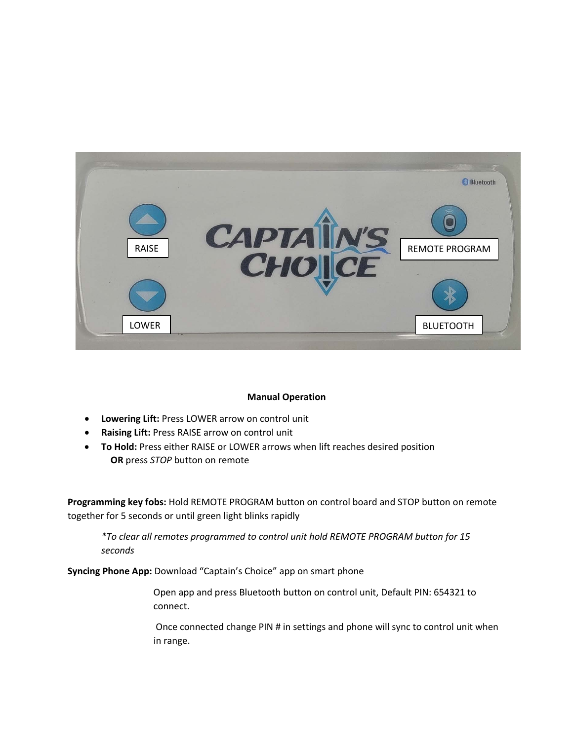

# **Manual Operation**

- **Lowering Lift:** Press LOWER arrow on control unit
- **Raising Lift:** Press RAISE arrow on control unit
- **To Hold:** Press either RAISE or LOWER arrows when lift reaches desired position  **OR** press *STOP* button on remote

**Programming key fobs:** Hold REMOTE PROGRAM button on control board and STOP button on remote together for 5 seconds or until green light blinks rapidly

*\*To clear all remotes programmed to control unit hold REMOTE PROGRAM button for 15 seconds*

**Syncing Phone App:** Download "Captain's Choice" app on smart phone

Open app and press Bluetooth button on control unit, Default PIN: 654321 to connect.

Once connected change PIN # in settings and phone will sync to control unit when in range.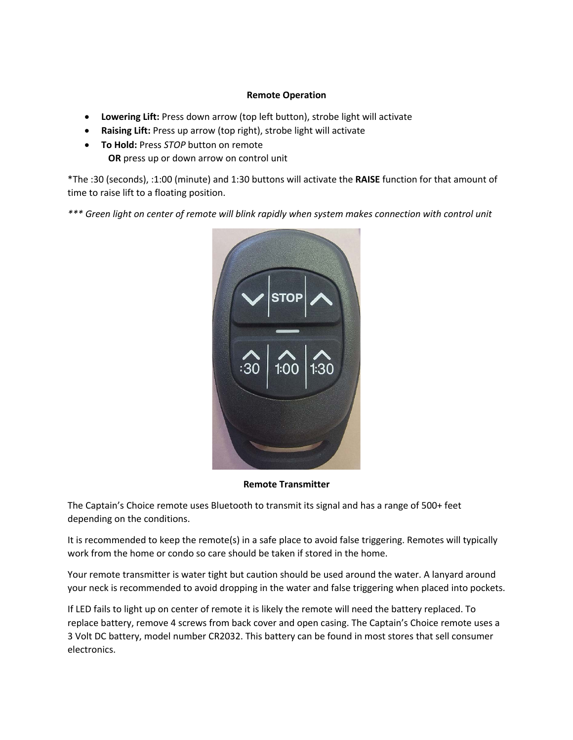## **Remote Operation**

- **Lowering Lift:** Press down arrow (top left button), strobe light will activate
- **Raising Lift:** Press up arrow (top right), strobe light will activate
- **To Hold:** Press *STOP* button on remote  **OR** press up or down arrow on control unit

\*The :30 (seconds), :1:00 (minute) and 1:30 buttons will activate the **RAISE** function for that amount of time to raise lift to a floating position.

*\*\*\* Green light on center of remote will blink rapidly when system makes connection with control unit*



**Remote Transmitter**

The Captain's Choice remote uses Bluetooth to transmit its signal and has a range of 500+ feet depending on the conditions.

It is recommended to keep the remote(s) in a safe place to avoid false triggering. Remotes will typically work from the home or condo so care should be taken if stored in the home.

Your remote transmitter is water tight but caution should be used around the water. A lanyard around your neck is recommended to avoid dropping in the water and false triggering when placed into pockets.

If LED fails to light up on center of remote it is likely the remote will need the battery replaced. To replace battery, remove 4 screws from back cover and open casing. The Captain's Choice remote uses a 3 Volt DC battery, model number CR2032. This battery can be found in most stores that sell consumer electronics.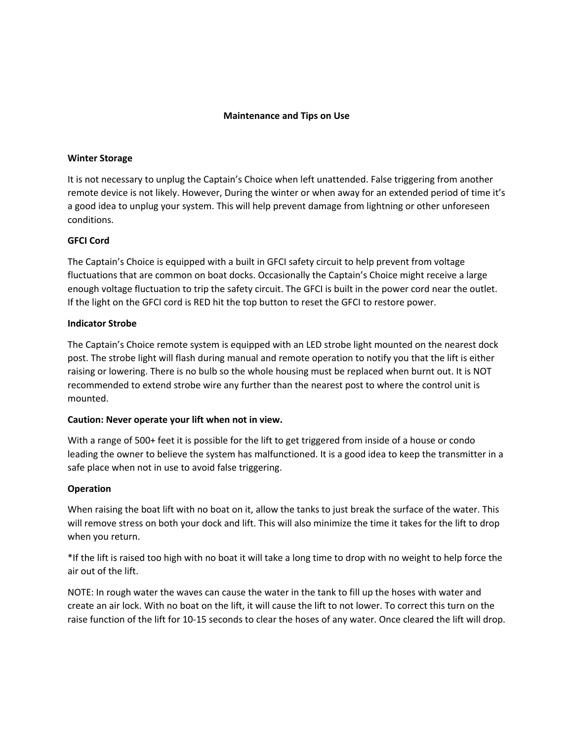# **Maintenance and Tips on Use**

#### **Winter Storage**

It is not necessary to unplug the Captain's Choice when left unattended. False triggering from another remote device is not likely. However, During the winter or when away for an extended period of time it's a good idea to unplug your system. This will help prevent damage from lightning or other unforeseen conditions.

## **GFCI Cord**

The Captain's Choice is equipped with a built in GFCI safety circuit to help prevent from voltage fluctuations that are common on boat docks. Occasionally the Captain's Choice might receive a large enough voltage fluctuation to trip the safety circuit. The GFCI is built in the power cord near the outlet. If the light on the GFCI cord is RED hit the top button to reset the GFCI to restore power.

#### **Indicator Strobe**

The Captain's Choice remote system is equipped with an LED strobe light mounted on the nearest dock post. The strobe light will flash during manual and remote operation to notify you that the lift is either raising or lowering. There is no bulb so the whole housing must be replaced when burnt out. It is NOT recommended to extend strobe wire any further than the nearest post to where the control unit is mounted.

#### **Caution: Never operate your lift when not in view.**

With a range of 500+ feet it is possible for the lift to get triggered from inside of a house or condo leading the owner to believe the system has malfunctioned. It is a good idea to keep the transmitter in a safe place when not in use to avoid false triggering.

#### **Operation**

When raising the boat lift with no boat on it, allow the tanks to just break the surface of the water. This will remove stress on both your dock and lift. This will also minimize the time it takes for the lift to drop when you return.

\*If the lift is raised too high with no boat it will take a long time to drop with no weight to help force the air out of the lift.

NOTE: In rough water the waves can cause the water in the tank to fill up the hoses with water and create an air lock. With no boat on the lift, it will cause the lift to not lower. To correct this turn on the raise function of the lift for 10-15 seconds to clear the hoses of any water. Once cleared the lift will drop.